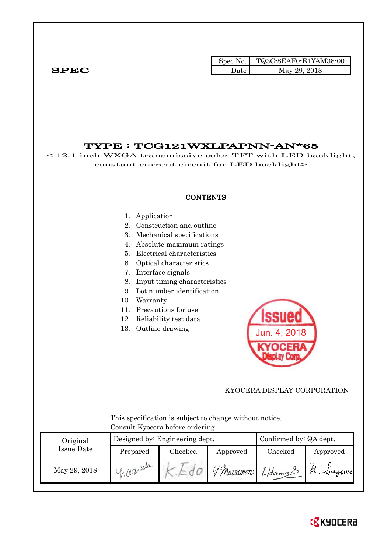|              |      | Spec No. $\vert$ TQ3C-8EAF0-E1YAM38-00 |
|--------------|------|----------------------------------------|
| ${\bf SPEC}$ | Date | May 29, 2018                           |

## TYPE : TCG121WXLPAPNN-AN\*65

< 12.1 inch WXGA transmissive color TFT with LED backlight, constant current circuit for LED backlight>

#### **CONTENTS**

#### 1. Application

- 2. Construction and outline
- 3. Mechanical specifications
- 4. Absolute maximum ratings
- 5. Electrical characteristics
- 6. Optical characteristics
- 7. Interface signals
- 8. Input timing characteristics
- 9. Lot number identification
- 10. Warranty
- 11. Precautions for use
- 12. Reliability test data
- 13. Outline drawing



#### KYOCERA DISPLAY CORPORATION

 This specification is subject to change without notice. Consult Kyocera before ordering.

| Original     |            | Designed by: Engineering dept. | Confirmed by: QA dept. |          |               |
|--------------|------------|--------------------------------|------------------------|----------|---------------|
| Issue Date   | Prepared   | Checked                        | Approved               | Checked  | Approved      |
| May 29, 2018 | 1 reduilla |                                | ' Matximoto            | 1-Hamour | $\sim$ $\sim$ |

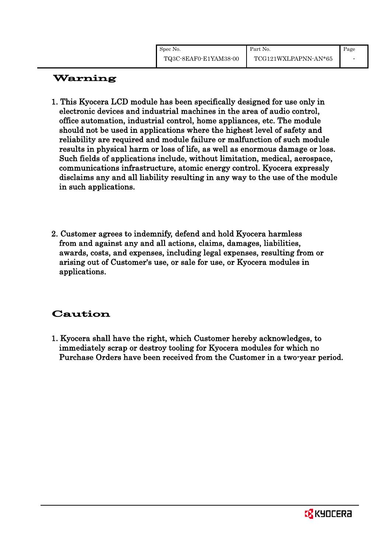# Warning

- 1. This Kyocera LCD module has been specifically designed for use only in electronic devices and industrial machines in the area of audio control, office automation, industrial control, home appliances, etc. The module should not be used in applications where the highest level of safety and reliability are required and module failure or malfunction of such module results in physical harm or loss of life, as well as enormous damage or loss. Such fields of applications include, without limitation, medical, aerospace, communications infrastructure, atomic energy control. Kyocera expressly disclaims any and all liability resulting in any way to the use of the module in such applications.
- 2. Customer agrees to indemnify, defend and hold Kyocera harmless from and against any and all actions, claims, damages, liabilities, awards, costs, and expenses, including legal expenses, resulting from or arising out of Customer's use, or sale for use, or Kyocera modules in applications.

# Caution

1. Kyocera shall have the right, which Customer hereby acknowledges, to immediately scrap or destroy tooling for Kyocera modules for which no Purchase Orders have been received from the Customer in a two-year period.

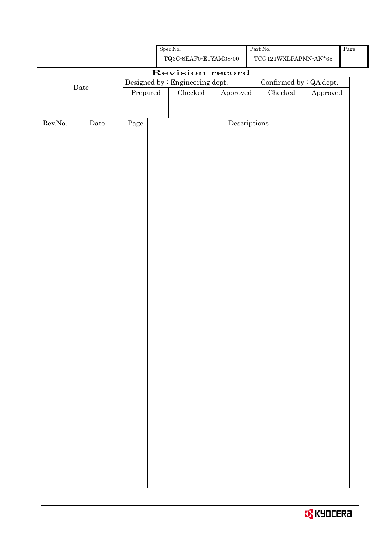| <b>EX</b> KYOCERA |  |
|-------------------|--|
|                   |  |

| Spec No.              | Part No.             |
|-----------------------|----------------------|
| TQ3C-8EAF0-E1YAM38-00 | TCG121WXLPAPNN-AN*65 |

# Revision record Date Designed by : Engineering dept. Confirmed by : QA dept.<br>Prepared Checked Approved Checked Approved Approved Rev.No. Date Page Descriptions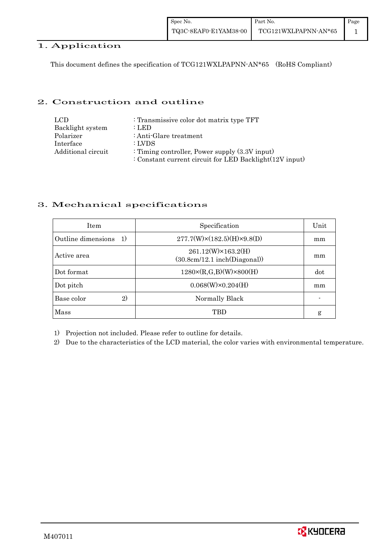#### 1. Application

This document defines the specification of TCG121WXLPAPNN-AN\*65 (RoHS Compliant)

#### 2. Construction and outline

| LCD.               | : Transmissive color dot matrix type TFT                |
|--------------------|---------------------------------------------------------|
| Backlight system   | : LED                                                   |
| Polarizer          | : Anti-Glare treatment                                  |
| Interface          | : LVDS                                                  |
| Additional circuit | : Timing controller, Power supply $(3.3V)$ input)       |
|                    | : Constant current circuit for LED Backlight(12V input) |

#### 3. Mechanical specifications

| <b>Item</b>              | Specification                                      | Unit |
|--------------------------|----------------------------------------------------|------|
| Outline dimensions<br>1) | $277.7(W)\times(182.5)(H)\times9.8(D)$             | mm   |
| Active area              | 261.12(W)×163.2(H)<br>(30.8cm/12.1~inch(Diagonal)) | mm   |
| Dot format               | $1280 \times (R,G,B)(W) \times 800(H)$             | dot  |
| Dot pitch                | $0.068(W)\times0.204(H)$                           | mm   |
| 2)<br>Base color         | Normally Black                                     |      |
| Mass                     | TRD                                                | g    |

1) Projection not included. Please refer to outline for details.

2) Due to the characteristics of the LCD material, the color varies with environmental temperature.

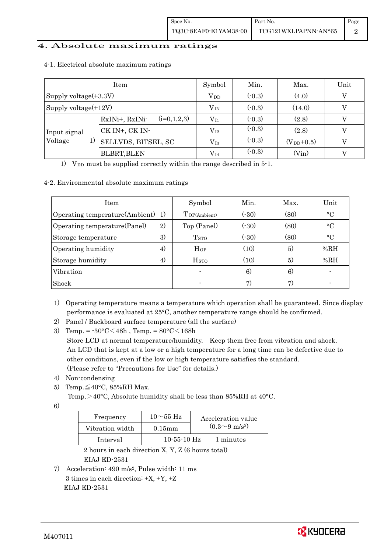#### 4. Absolute maximum ratings

|                       |    | Item                            | Symbol       | Min.     | Max.           | Unit |
|-----------------------|----|---------------------------------|--------------|----------|----------------|------|
| Supply voltage(+3.3V) |    |                                 | $\rm V_{DD}$ | $(-0.3)$ | (4.0)          |      |
| Supply voltage(+12V)  |    |                                 | $V_{IN}$     | $(-0.3)$ | (14.0)         |      |
|                       |    | $(i=0,1,2,3)$<br>RxINi+, RxINi- | $\rm V_{11}$ | $(-0.3)$ | (2.8)          |      |
| Input signal          |    | CK IN+, CK IN-                  | $\rm V_{12}$ | $(-0.3)$ | (2.8)          |      |
| Voltage               | 1) | SELLVDS, BITSEL, SC             | $\rm V_{I3}$ | $(-0.3)$ | $(V_{DD}+0.5)$ | V    |
|                       |    | <b>BLBRT, BLEN</b>              | $\rm V_{I4}$ | $(-0.3)$ | (Vin)          |      |

#### 4-1. Electrical absolute maximum ratings

1) V<sub>DD</sub> must be supplied correctly within the range described in  $5$ -1.

#### 4-2. Environmental absolute maximum ratings

| <b>Item</b>                         | Symbol                  | Min.  | Max. | Unit            |
|-------------------------------------|-------------------------|-------|------|-----------------|
| Operating temperature(Ambient) 1)   | TOP(Ambient)            | (.30) | (80) | $\rm ^{\circ}C$ |
| 2)<br>Operating temperature (Panel) | Top (Panel)             | (.30) | (80) | $\rm ^{\circ}C$ |
| 3)<br>Storage temperature           | <b>T</b> <sub>STO</sub> | (.30) | (80) | $\rm ^{\circ}C$ |
| Operating humidity<br>4)            | Hop                     | (10)  | 5)   | %RH             |
| Storage humidity<br>4)              | <b>H</b> <sub>sto</sub> | (10)  | 5)   | %RH             |
| Vibration                           |                         | 6)    | 6)   |                 |
| Shock                               |                         | 7)    | 7)   |                 |

1) Operating temperature means a temperature which operation shall be guaranteed. Since display performance is evaluated at 25°C, another temperature range should be confirmed.

- 2) Panel / Backboard surface temperature (all the surface)
- 3) Temp. =  $-30^{\circ}$ C $<$ 48h, Temp. =  $80^{\circ}$ C $<$ 168h Store LCD at normal temperature/humidity. Keep them free from vibration and shock. An LCD that is kept at a low or a high temperature for a long time can be defective due to other conditions, even if the low or high temperature satisfies the standard. (Please refer to "Precautions for Use" for details.)
- 4) Non-condensing
- 5) Temp. $\leq 40^{\circ}$ C, 85%RH Max.

Temp. $>40^{\circ}$ C, Absolute humidity shall be less than 85%RH at 40°C.

6)

| Frequency       | $10\sim$ 55 Hz | Acceleration value         |
|-----------------|----------------|----------------------------|
| Vibration width | $0.15$ mm      | $(0.3{\sim}9~{\rm m/s^2})$ |
| Interval        | $10-55-10$ Hz  | 1 minutes                  |

 2 hours in each direction X, Y, Z (6 hours total) EIAJ ED-2531

7) Acceleration: 490 m/s2, Pulse width: 11 ms 3 times in each direction:  $\pm X$ ,  $\pm Y$ ,  $\pm Z$ EIAJ ED-2531

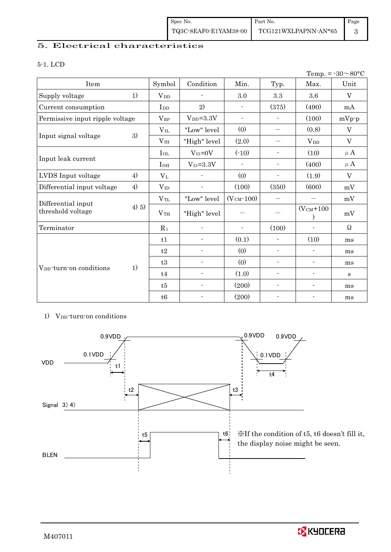#### 5. Electrical characteristics

#### 5-1. LCD

|                                     |       |                  |                          |                          |                          |                             | Temp. = $-30 \sim 80$ °C |
|-------------------------------------|-------|------------------|--------------------------|--------------------------|--------------------------|-----------------------------|--------------------------|
| Item                                |       | Symbol           | Condition                | Min.                     | Typ.                     | Max.                        | Unit                     |
| Supply voltage                      | 1)    | $\rm V_{\rm DD}$ | $\blacksquare$           | 3.0                      | 3.3                      | 3.6                         | V                        |
| Current consumption                 |       | I <sub>DD</sub>  | 2)                       |                          | (375)                    | (490)                       | mA                       |
| Permissive input ripple voltage     |       | $V_{RP}$         | $V_{DD} = 3.3V$          | $\overline{\phantom{a}}$ | $\blacksquare$           | (100)                       | $mVp\neg p$              |
|                                     |       | $V_{IL}$         | "Low" level              | (0)                      |                          | (0.8)                       | V                        |
| Input signal voltage                | 3)    | V <sub>IH</sub>  | "High" level             | (2.0)                    |                          | $V_{DD}$                    | V                        |
|                                     |       | $I_{OL}$         | $V_{I3}=0V$              | $(-10)$                  | $\overline{\phantom{a}}$ | (10)                        | $\mu$ A                  |
| Input leak current                  |       | $I_{OH}$         | $V_{I3}=3.3V$            | $\blacksquare$           | $\blacksquare$           | (400)                       | $\mu$ A                  |
| LVDS Input voltage                  | 4)    | $V_{L}$          |                          | (0)                      | $\overline{\phantom{a}}$ | (1.9)                       | V                        |
| Differential input voltage          | 4)    | $V_{ID}$         |                          | (100)                    | (350)                    | (600)                       | mV                       |
| Differential input                  |       | $V_{TL}$         | "Low" level              | $(VCM - 100)$            |                          |                             | mV                       |
| threshold voltage                   | 4) 5) | V <sub>TH</sub>  | "High" level             |                          |                          | $(VCM+100$<br>$\mathcal{E}$ | mV                       |
| Terminator                          |       | $R_1$            |                          | $\blacksquare$           | (100)                    |                             | $\Omega$                 |
|                                     |       | t1               |                          | (0.1)                    | $\overline{\phantom{a}}$ | (10)                        | ms                       |
|                                     |       | t2               | $\blacksquare$           | (0)                      | $\overline{\phantom{a}}$ | $\overline{\phantom{a}}$    | ms                       |
|                                     |       | t3               |                          | (0)                      | $\blacksquare$           | $\overline{\phantom{a}}$    | ms                       |
| V <sub>DD</sub> -turn-on conditions | 1)    | t4               |                          | (1.0)                    | $\overline{\phantom{a}}$ | $\overline{a}$              | $\bf S$                  |
|                                     |       | t5               | $\overline{\phantom{a}}$ | (200)                    | $\overline{\phantom{a}}$ | $\overline{a}$              | ms                       |
|                                     |       | t6               |                          | (200)                    |                          |                             | ms                       |

#### 1) V<sub>DD</sub>-turn-on conditions



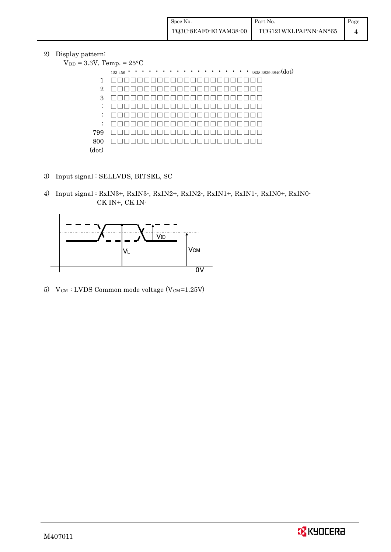2) Display pattern:  $V_{DD}$ 

| <b>I</b>       |                                                                                               |
|----------------|-----------------------------------------------------------------------------------------------|
|                | $= 3.3V$ , Temp. $= 25^{\circ}C$                                                              |
|                | $\cdots$ $\cdots$ $\cdots$ $\cdots$ $\cdots$ $\cdots$ $\cdots$ $383838393840(dot)$<br>123 456 |
| 1              |                                                                                               |
| $\overline{2}$ |                                                                                               |
| 3              |                                                                                               |
| ÷              | $\mathcal{A} = \mathcal{A}$                                                                   |
| ÷              |                                                                                               |
| ÷              |                                                                                               |
| 799            |                                                                                               |
| 800            |                                                                                               |
| (dot)          |                                                                                               |

- 3) Input signal : SELLVDS, BITSEL, SC
- 4) Input signal : RxIN3+, RxIN3-, RxIN2+, RxIN2-, RxIN1+, RxIN1-, RxIN0+, RxIN0- CK IN+, CK IN-



5)  $V_{CM}$ : LVDS Common mode voltage (V $_{CM}$ =1.25V)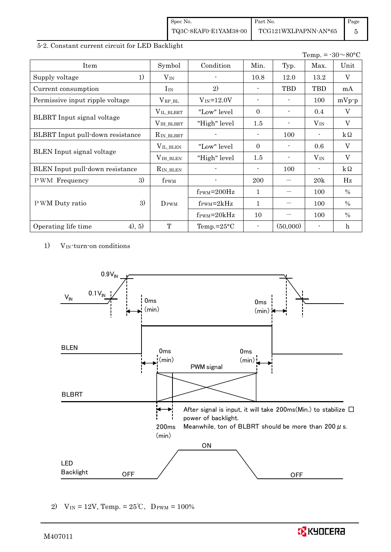| Spec No.              | Part No.             | Page |
|-----------------------|----------------------|------|
| TQ3C-8EAF0-E1YAM38-00 | TCG121WXLPAPNN-AN*65 |      |

#### 5-2. Constant current circuit for LED Backlight

|                                  |                  |                            |                          |          |                          | Temp. = $-30 \sim 80$ °C |
|----------------------------------|------------------|----------------------------|--------------------------|----------|--------------------------|--------------------------|
| Item                             | Symbol           | Condition                  | Min.                     | Typ.     | Max.                     | Unit                     |
| 1)<br>Supply voltage             | $V_{IN}$         |                            | 10.8                     | 12.0     | 13.2                     | V                        |
| Current consumption              | $I_{IN}$         | 2)                         |                          | TBD      | TBD                      | mA                       |
| Permissive input ripple voltage  | $V_{RP\_BL}$     | $V_{IN} = 12.0V$           | $\overline{\phantom{a}}$ |          | 100                      | $mVp-p$                  |
|                                  | VIL_BLBRT        | "Low" level                | $\Omega$                 |          | 0.4                      | V                        |
| BLBRT Input signal voltage       | $VIH_BLRRT$      | "High" level               | 1.5                      |          | $V_{IN}$                 | $\overline{V}$           |
| BLBRT Input pull-down resistance | $R_{IN\_BLBRT}$  |                            | $\blacksquare$           | 100      | $\overline{\phantom{a}}$ | $k\Omega$                |
|                                  | VIL_BLEN         | "Low" level"               | $\Omega$                 |          | 0.6                      | V                        |
| <b>BLEN</b> Input signal voltage | $VIH_BLEN$       | "High" level               | 1.5                      |          | $V_{IN}$                 | V                        |
| BLEN Input pull-down resistance  | $R_{IN\_BLEN}$   |                            | $\blacksquare$           | 100      |                          | $k\Omega$                |
| 3)<br>PWM Frequency              | f <sub>PWM</sub> |                            | 200                      |          | 20k                      | Hz                       |
|                                  |                  | $f_{\rm PWM} = 200 \rm Hz$ | $\mathbf{1}$             |          | 100                      | $\frac{0}{0}$            |
| 3)<br>P WM Duty ratio            | $D_{\rm PWM}$    | $f_{\text{PWM}}=2kHz$      | 1                        |          | 100                      | $\%$                     |
|                                  |                  | $f_{\rm PWM} = 20kHz$      | 10                       |          | 100                      | $\%$                     |
| 4), 5)<br>Operating life time    | T                | Temp.= $25^{\circ}$ C      | $\overline{\phantom{a}}$ | (50,000) |                          | $\mathbf h$              |

1) V<sub>IN</sub>-turn-on conditions



2)  $V_{IN} = 12V$ , Temp. =  $25^{\circ}C$ , DPWM = 100%

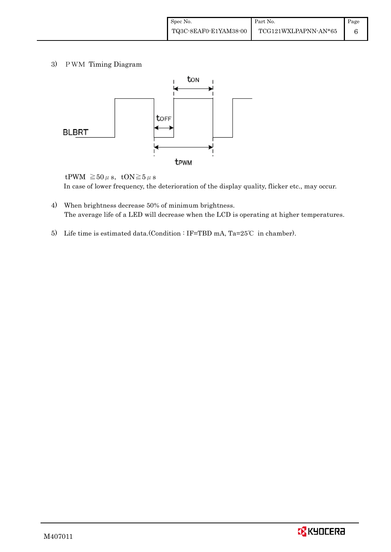3) PWM Timing Diagram



tPWM  $\geq 50 \mu$  s, tON $\geq 5 \mu$  s In case of lower frequency, the deterioration of the display quality, flicker etc., may occur.

- 4) When brightness decrease 50% of minimum brightness. The average life of a LED will decrease when the LCD is operating at higher temperatures.
- 5) Life time is estimated data.(Condition : IF=TBD mA, Ta=25°C in chamber).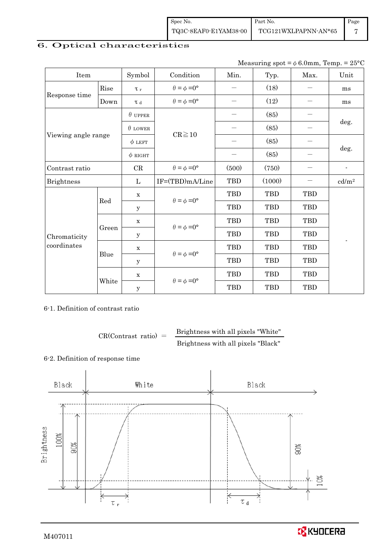| Spec No.              | Part No.             | Page |
|-----------------------|----------------------|------|
| TQ3C-8EAF0-E1YAM38-00 | TCG121WXLPAPNN-AN*65 |      |

# 6. Optical characteristics

| Measuring spot = $\phi$ 6.0mm, Temp. = 25°C |  |
|---------------------------------------------|--|
|---------------------------------------------|--|

| Item                        |       | Symbol         | Condition                   | Min.  | Typ.       | Max.       | Unit                     |  |
|-----------------------------|-------|----------------|-----------------------------|-------|------------|------------|--------------------------|--|
|                             | Rise  | $\tau$         | $\theta = \phi = 0^{\circ}$ |       | (18)       |            | ms                       |  |
| Response time               | Down  | $\tau$ d       | $\theta = \phi = 0^{\circ}$ |       | (12)       |            | ms                       |  |
|                             |       | $\theta$ upper |                             |       | (85)       |            |                          |  |
|                             |       | $\theta$ LOWER |                             |       | (85)       |            | deg.                     |  |
| Viewing angle range         |       | $\phi$ LEFT    | $CR \ge 10$                 | —     | (85)       |            | deg.                     |  |
|                             |       | $\phi$ RIGHT   |                             |       | (85)       |            |                          |  |
| Contrast ratio              |       | $\rm CR$       | $\theta = \phi = 0^{\circ}$ | (500) | (750)      |            | $\overline{\phantom{a}}$ |  |
| <b>Brightness</b>           |       | L              | IF=(TBD)mA/Line             | TBD   | (1000)     |            | cd/m <sup>2</sup>        |  |
|                             |       | X              | $\theta = \phi = 0^{\circ}$ | TBD   | TBD        | TBD        |                          |  |
|                             | Red   | У              |                             | TBD   | <b>TBD</b> | <b>TBD</b> |                          |  |
|                             | Green | $\mathbf X$    |                             | TBD   | <b>TBD</b> | TBD        |                          |  |
| Chromaticity<br>coordinates |       | У              | $\theta = \phi = 0^{\circ}$ | TBD   | TBD        | <b>TBD</b> | L,                       |  |
|                             |       | $\mathbf X$    | $\theta = \phi = 0^{\circ}$ | TBD   | TBD        | TBD        |                          |  |
|                             | Blue  | У              |                             | TBD   | TBD        | TBD        |                          |  |
|                             |       | $\mathbf X$    | $\theta = \phi = 0^{\circ}$ | TBD   | <b>TBD</b> | <b>TBD</b> |                          |  |
|                             | White | $\mathbf y$    |                             | TBD   | <b>TBD</b> | <b>TBD</b> |                          |  |

#### 6-1. Definition of contrast ratio

 $CR(Contrast ratio) =$  Brightness with all pixels "White" Brightness with all pixels "Black"

## 6-2. Definition of response time

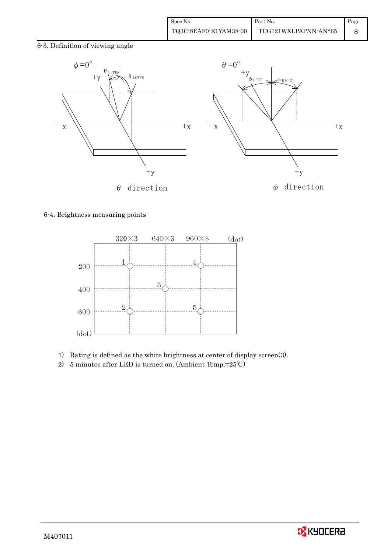6-3. Definition of viewing angle



#### 6-4. Brightness measuring points



- 1) Rating is defined as the white brightness at center of display screen(3).
- 2) 5 minutes after LED is turned on. (Ambient Temp.=25℃)

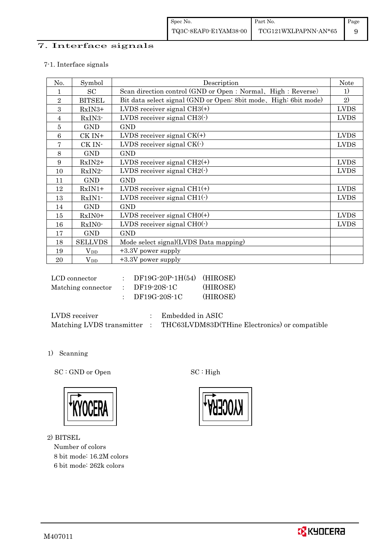## 7. Interface signals

#### 7-1. Interface signals

| No.        | Symbol         | Description                                                      | <b>Note</b> |
|------------|----------------|------------------------------------------------------------------|-------------|
|            | SC             | Scan direction control (GND or Open : Normal, High : Reverse)    | 1)          |
| $\sqrt{2}$ | <b>BITSEL</b>  | Bit data select signal (GND or Open: 8bit mode, High: 6bit mode) | 2)          |
| 3          | RxIN3+         | LVDS receiver signal $CH3(+)$                                    | <b>LVDS</b> |
| 4          | $RxIN3-$       | LVDS receiver signal $CH3(\cdot)$                                | <b>LVDS</b> |
| 5          | <b>GND</b>     | <b>GND</b>                                                       |             |
| 6          | CK IN+         | LVDS receiver signal $CK(+)$                                     | <b>LVDS</b> |
| 7          | CK IN-         | LVDS receiver signal $CK(\cdot)$                                 | <b>LVDS</b> |
| 8          | <b>GND</b>     | <b>GND</b>                                                       |             |
| 9          | $RxIN2+$       | LVDS receiver signal $CH2(+)$                                    | <b>LVDS</b> |
| 10         | RxIN2-         | LVDS receiver signal $CH2(\cdot)$                                | <b>LVDS</b> |
| 11         | <b>GND</b>     | <b>GND</b>                                                       |             |
| 12         | $RxIN1+$       | LVDS receiver signal $CH1(+)$                                    | <b>LVDS</b> |
| 13         | RxIN1-         | LVDS receiver signal $CH1(\cdot)$                                | <b>LVDS</b> |
| 14         | <b>GND</b>     | <b>GND</b>                                                       |             |
| 15         | RxIN0+         | LVDS receiver signal $CHO(+)$                                    | <b>LVDS</b> |
| 16         | RxIN0-         | LVDS receiver signal $CHO(·)$                                    | <b>LVDS</b> |
| 17         | <b>GND</b>     | <b>GND</b>                                                       |             |
| 18         | <b>SELLVDS</b> | Mode select signal(LVDS Data mapping)                            |             |
| 19         | $V_{DD}$       | $+3.3V$ power supply                                             |             |
| 20         | $\rm V_{DD}$   | $+3.3V$ power supply                                             |             |

| LCD connector      | $DF19G-20P-1H(54)$ (HIROSE) |          |
|--------------------|-----------------------------|----------|
| Matching connector | DF19-20S-1C                 | (HIROSE) |
|                    | DF19G-20S-1C                | (HIROSE) |

| LVDS receiver             | Embedded in ASIC                              |
|---------------------------|-----------------------------------------------|
| Matching LVDS transmitter | THC63LVDM83D(THine Electronics) or compatible |

1) Scanning

SC : GND or Open SC : High



2) BITSEL

Number of colors 8 bit mode: 16.2M colors 6 bit mode: 262k colors

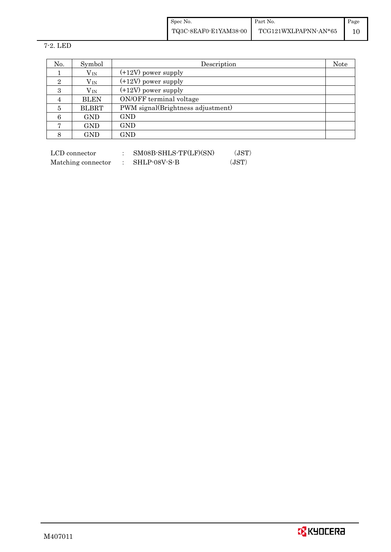| Spec No.              | Part No.             | Page |
|-----------------------|----------------------|------|
| TQ3C-8EAF0-E1YAM38-00 | TCG121WXLPAPNN-AN*65 |      |

7-2. LED

| No.            | Symbol       | Description                       | Note |  |  |
|----------------|--------------|-----------------------------------|------|--|--|
|                | $V_{IN}$     | $(+12V)$ power supply             |      |  |  |
| 2              | $V_{IN}$     | $(+12V)$ power supply             |      |  |  |
| 3              | $\rm V_{IN}$ | $(+12V)$ power supply             |      |  |  |
| 4              | <b>BLEN</b>  | ON/OFF terminal voltage           |      |  |  |
| 5              | <b>BLBRT</b> | PWM signal(Brightness adjustment) |      |  |  |
| 6              | <b>GND</b>   | <b>GND</b>                        |      |  |  |
| $\overline{ }$ | <b>GND</b>   | GND                               |      |  |  |
| 8              | GND          | $\mathop{\rm GND}\nolimits$       |      |  |  |

| LCD connector      | SM08B-SHLS-TF(LF)(SN) | (JST) |
|--------------------|-----------------------|-------|
| Matching connector | SHLP-08V-S-B          | (JST) |

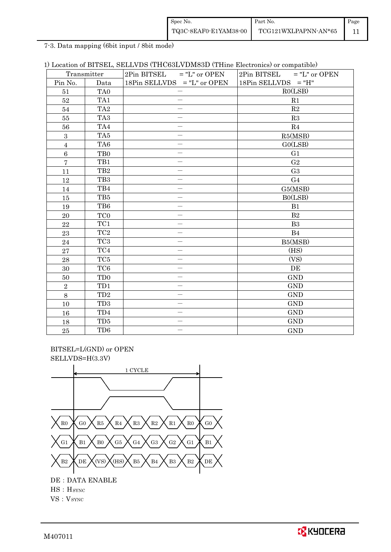| Spec No.              | Part No.             | Page |
|-----------------------|----------------------|------|
| TQ3C-8EAF0-E1YAM38-00 | TCG121WXLPAPNN-AN*65 |      |

7-3. Data mapping (6bit input / 8bit mode)

|  |  |  |  |  |  |  |  | 1) Location of BITSEL, SELLVDS (THC63LVDM83D (THine Electronics) or compatible) |
|--|--|--|--|--|--|--|--|---------------------------------------------------------------------------------|
|--|--|--|--|--|--|--|--|---------------------------------------------------------------------------------|

|                | Transmitter      | $2Pin$ BITSEL = "L" or OPEN | $2Pin$ BITSEL = "L" or OPEN |  |  |
|----------------|------------------|-----------------------------|-----------------------------|--|--|
| Pin No.        | Data             | 18Pin SELLVDS = "L" or OPEN | $18Pin$ SELLVDS = "H"       |  |  |
| 51             | TA <sub>0</sub>  |                             | RO(LSB)                     |  |  |
| $52\,$         | TA1              |                             | R1                          |  |  |
| 54             | TA <sub>2</sub>  |                             | R2                          |  |  |
| 55             | TA <sub>3</sub>  |                             | R3                          |  |  |
| 56             | TA4              | —                           | R4                          |  |  |
| $\overline{3}$ | TA5              |                             | R5(MSB)                     |  |  |
| $\overline{4}$ | TA <sub>6</sub>  |                             | GO(LSB)                     |  |  |
| $\,6\,$        | T <sub>B</sub> 0 |                             | G1                          |  |  |
| $\overline{7}$ | TB1              | $\overline{\phantom{0}}$    | G <sub>2</sub>              |  |  |
| 11             | TB <sub>2</sub>  |                             | G <sub>3</sub>              |  |  |
| 12             | TB <sub>3</sub>  | $\overline{\phantom{0}}$    | G <sub>4</sub>              |  |  |
| 14             | TB4              |                             | G5(MSB)                     |  |  |
| 15             | TB5              |                             | BO(LSB)                     |  |  |
| 19             | TB6              |                             | B1                          |  |  |
| 20             | TC <sub>0</sub>  | $\overline{\phantom{0}}$    | B <sub>2</sub>              |  |  |
| 22             | TC1              |                             | B <sub>3</sub>              |  |  |
| 23             | TC <sub>2</sub>  |                             | B <sub>4</sub>              |  |  |
| 24             | TC <sub>3</sub>  | $\overline{\phantom{0}}$    | B5(MSB)                     |  |  |
| 27             | TC4              | $\overline{\phantom{0}}$    | (HS)                        |  |  |
| 28             | TC <sub>5</sub>  | $\equiv$                    | (VS)                        |  |  |
| $30\,$         | TC <sub>6</sub>  |                             | DE                          |  |  |
| 50             | TD <sub>0</sub>  | $\overline{\phantom{0}}$    | <b>GND</b>                  |  |  |
| $\overline{2}$ | TD1              |                             | <b>GND</b>                  |  |  |
| 8              | TD2              | $\overline{\phantom{0}}$    | <b>GND</b>                  |  |  |
| 10             | TD <sub>3</sub>  |                             | <b>GND</b>                  |  |  |
| 16             | TD4              |                             | <b>GND</b>                  |  |  |
| 18             | TD5              |                             | <b>GND</b>                  |  |  |
| 25             | TD <sub>6</sub>  |                             | <b>GND</b>                  |  |  |

 BITSEL=L(GND) or OPEN SELLVDS=H(3.3V)



HS:HSYNC

VS: V<sub>SYNC</sub>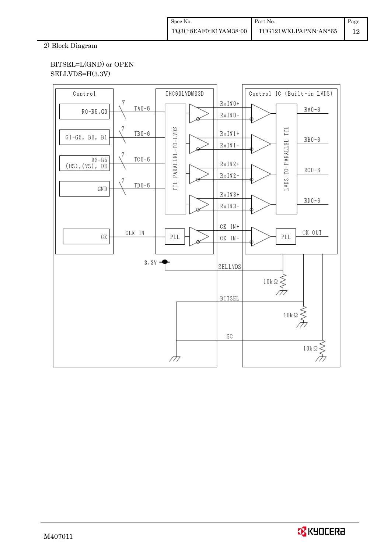2) Block Diagram

#### BITSEL=L(GND) or OPEN SELLVDS=H(3.3V)

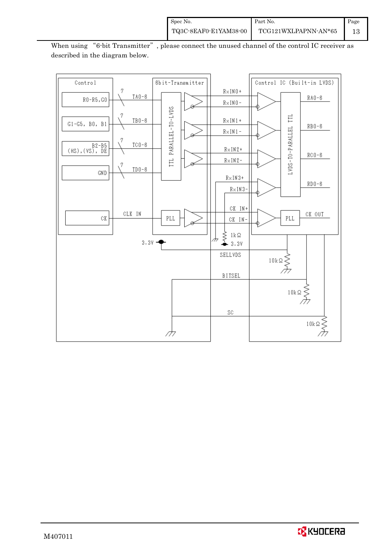

When using "6-bit Transmitter", please connect the unused channel of the control IC receiver as described in the diagram below.

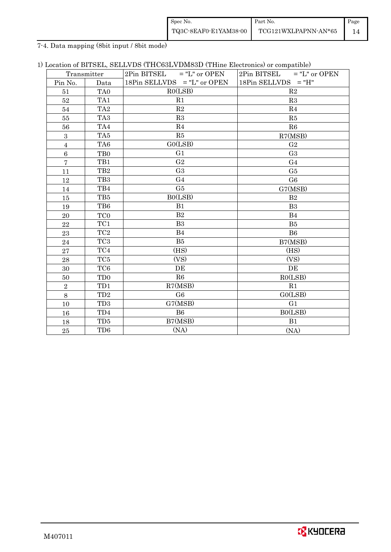| Spec No.              | Part No.             | Page |
|-----------------------|----------------------|------|
| TQ3C-8EAF0-E1YAM38-00 | TCG121WXLPAPNN-AN*65 |      |

7-4. Data mapping (8bit input / 8bit mode)

|  |  | 1) Location of BITSEL, SELLVDS (THC63LVDM83D (THine Electronics) or compatible) |  |  |
|--|--|---------------------------------------------------------------------------------|--|--|
|--|--|---------------------------------------------------------------------------------|--|--|

|                | Transmitter     | $2Pin$ BITSEL = "L" or OPEN   | $2Pin$ BITSEL = "L" or OPEN |  |  |
|----------------|-----------------|-------------------------------|-----------------------------|--|--|
| Pin No.        | Data            | 18Pin SELLVDS $=$ "L" or OPEN | $18Pin$ SELLVDS = "H"       |  |  |
| 51             | TA <sub>0</sub> | RO(LSB)                       | R <sub>2</sub>              |  |  |
| 52             | TA1             | R1                            | R3                          |  |  |
| 54             | TA <sub>2</sub> | R2                            | R <sub>4</sub>              |  |  |
| 55             | TA <sub>3</sub> | R3                            | R5                          |  |  |
| 56             | TA4             | R4                            | R6                          |  |  |
| $\mathbf{3}$   | TA5             | R5                            | R7(MSB)                     |  |  |
| $\overline{4}$ | TA6             | GO(LSB)                       | G <sub>2</sub>              |  |  |
| $\,6\,$        | T <sub>B0</sub> | G1                            | G <sub>3</sub>              |  |  |
| $\overline{7}$ | TB1             | G <sub>2</sub>                | G <sub>4</sub>              |  |  |
| 11             | TB <sub>2</sub> | G <sub>3</sub>                | G <sub>5</sub>              |  |  |
| 12             | TB <sub>3</sub> | G <sub>4</sub>                | G <sub>6</sub>              |  |  |
| 14             | TB4             | G <sub>5</sub>                | G7(MSB)                     |  |  |
| 15             | TB5             | BO(LSB)                       | B <sub>2</sub>              |  |  |
| 19             | TB6             | B1                            | B <sub>3</sub>              |  |  |
| 20             | TC <sub>0</sub> | B2                            | B <sub>4</sub>              |  |  |
| 22             | TC1             | B <sub>3</sub>                | B <sub>5</sub>              |  |  |
| 23             | TC <sub>2</sub> | B4                            | B <sub>6</sub>              |  |  |
| 24             | TC <sub>3</sub> | B <sub>5</sub>                | B7(MSB)                     |  |  |
| 27             | TC4             | (HS)                          | (HS)                        |  |  |
| 28             | TC <sub>5</sub> | (VS)                          | (VS)                        |  |  |
| 30             | TC <sub>6</sub> | DE                            | DE                          |  |  |
| 50             | TD <sub>0</sub> | R <sub>6</sub>                | RO(LSB)                     |  |  |
| $\,2$          | TD1             | R7(MSB)                       | R <sub>1</sub>              |  |  |
| $\,8\,$        | TD <sub>2</sub> | G <sub>6</sub>                | GO(LSB)                     |  |  |
| 10             | TD <sub>3</sub> | G7(MSB)                       | G <sub>1</sub>              |  |  |
| 16             | TD <sub>4</sub> | B <sub>6</sub>                | BO(LSB)                     |  |  |
| 18             | TD5             | B7(MSB)                       | B1                          |  |  |
| 25             | TD <sub>6</sub> | (NA)                          | (NA)                        |  |  |

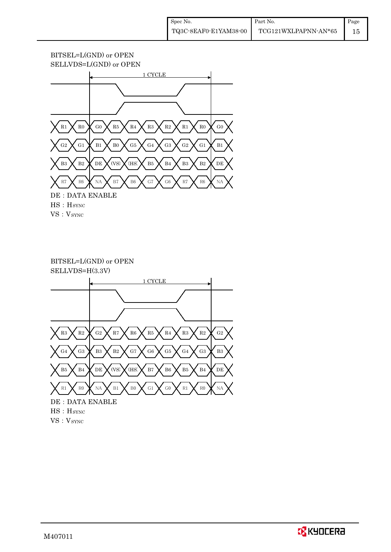#### BITSEL=L(GND) or OPEN SELLVDS=L(GND) or OPEN



VS: V<sub>SYNC</sub>

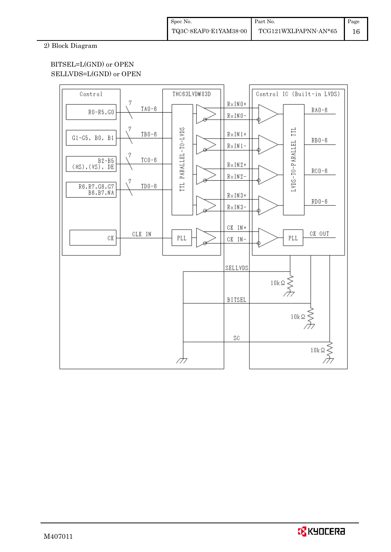#### 2) Block Diagram

#### BITSEL=L(GND) or OPEN SELLVDS=L(GND) or OPEN



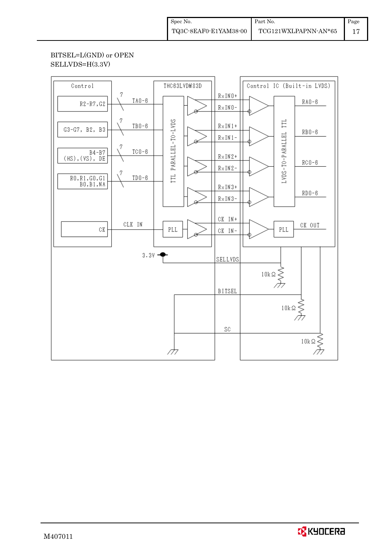## BITSEL=L(GND) or OPEN SELLVDS=H(3.3V)



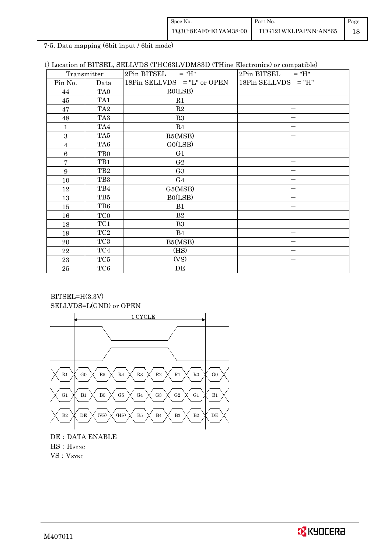| Spec No.              | Part No.             | Page |
|-----------------------|----------------------|------|
| TQ3C-8EAF0-E1YAM38-00 | TCG121WXLPAPNN-AN*65 |      |

7-5. Data mapping (6bit input / 6bit mode)

| 1) Location of BITSEL, SELLVDS (THC63LVDM83D (THine Electronics) or compatible) |  |
|---------------------------------------------------------------------------------|--|
|---------------------------------------------------------------------------------|--|

| Transmitter     |                  | 2Pin BITSEL<br>$=$ "H"        | 2Pin BITSEL<br>$=$ "H" |
|-----------------|------------------|-------------------------------|------------------------|
| Pin No.         | Data             | 18Pin SELLVDS $=$ "L" or OPEN | $18Pin$ SELLVDS = "H"  |
| 44              | TA <sub>0</sub>  | RO(LSB)                       |                        |
| 45              | TA1              | R1                            |                        |
| 47              | TA <sub>2</sub>  | R2                            |                        |
| 48              | TA <sub>3</sub>  | R3                            |                        |
| 1               | TA4              | R4                            |                        |
| 3               | TA5              | R5(MSB)                       |                        |
| $\overline{4}$  | TA <sub>6</sub>  | GO(LSB)                       |                        |
| $6\phantom{.}6$ | T <sub>B</sub> 0 | G1                            |                        |
| $\overline{7}$  | TB1              | G <sub>2</sub>                |                        |
| $9\phantom{.}$  | TB <sub>2</sub>  | G <sub>3</sub>                |                        |
| 10              | TB <sub>3</sub>  | G <sub>4</sub>                |                        |
| 12              | TB4              | G5(MSB)                       |                        |
| 13              | TB5              | B0(LSB)                       |                        |
| 15              | TB6              | B1                            |                        |
| 16              | TC <sub>0</sub>  | B2                            |                        |
| 18              | TC1              | B <sub>3</sub>                |                        |
| 19              | TC <sub>2</sub>  | <b>B</b> 4                    |                        |
| 20              | TC <sub>3</sub>  | B5(MSB)                       |                        |
| 22              | TC4              | (HS)                          |                        |
| 23              | TC5              | (VS)                          |                        |
| $\rm 25$        | TC <sub>6</sub>  | DE                            |                        |

BITSEL=H(3.3V) SELLVDS=L(GND) or OPEN



DE: DATA ENABLE HS:HSYNC VS: V<sub>SYNC</sub>

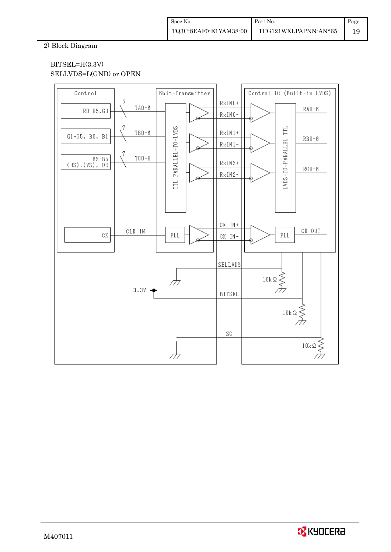#### 2) Block Diagram

#### BITSEL=H(3.3V) SELLVDS=L(GND) or OPEN



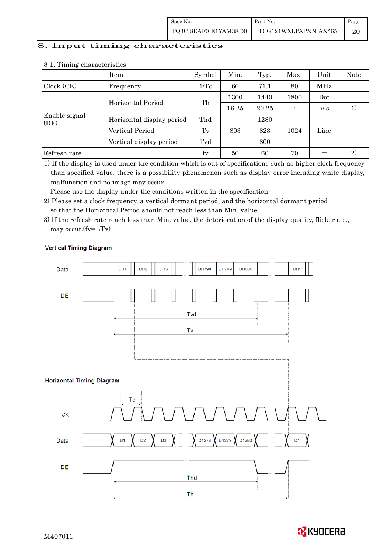# 8. Input timing characteristics  $\overline{\phantom{a}}$

|                       | Item                      | Symbol          | Min.  | Typ.  | Max. | Unit    | <b>Note</b> |
|-----------------------|---------------------------|-----------------|-------|-------|------|---------|-------------|
| Clock (CK)            | Frequency                 | $1/\mathrm{Tc}$ | 60    | 71.1  | 80   | MHz     |             |
|                       |                           | Th              | 1300  | 1440  | 1800 | Dot     |             |
|                       | Horizontal Period         |                 | 16.25 | 20.25 |      | $\mu$ s |             |
| Enable signal<br>(DE) | Horizontal display period | Thd             |       | 1280  |      |         |             |
|                       | Vertical Period           | Tv              | 803   | 823   | 1024 | Line    |             |
|                       | Vertical display period   | Tvd             |       | 800   |      |         |             |
| Refresh rate          |                           | $f_V$           | 50    | 60    | 70   |         | 2)          |

#### 8-1. Timing characteristics

1) If the display is used under the condition which is out of specifications such as higher clock frequency than specified value, there is a possibility phenomenon such as display error including white display, malfunction and no image may occur.

Please use the display under the conditions written in the specification.

- 2) Please set a clock frequency, a vertical dormant period, and the horizontal dormant period so that the Horizontal Period should not reach less than Min. value.
- 3) If the refresh rate reach less than Min. value, the deterioration of the display quality, flicker etc., may occur.(fv=1/Tv)



#### **Vertical Timing Diagram**

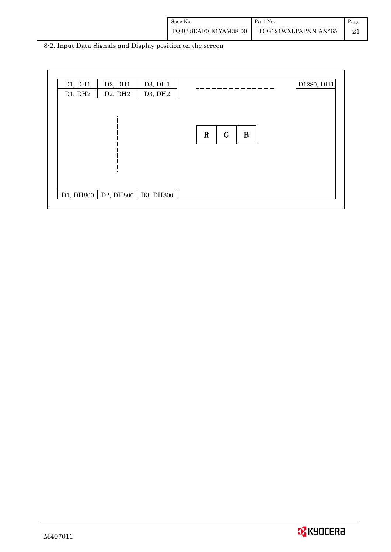| Spec No.              | Part No.             | Page |
|-----------------------|----------------------|------|
| TQ3C-8EAF0-E1YAM38-00 | TCG121WXLPAPNN-AN*65 |      |

8-2. Input Data Signals and Display position on the screen

| D1, DH1<br>D1, DH2 | D2, DH1<br>D <sub>2</sub> , DH <sub>2</sub>                                                                  | D3, DH1<br>D3, DH2 |                                    | D1280, DH1 |
|--------------------|--------------------------------------------------------------------------------------------------------------|--------------------|------------------------------------|------------|
|                    |                                                                                                              |                    | $\mathbf R$<br>$\bf{B}$<br>$\bf G$ |            |
|                    | D <sub>1</sub> , DH <sub>800</sub>   D <sub>2</sub> , DH <sub>800</sub>   D <sub>3</sub> , DH <sub>800</sub> |                    |                                    |            |

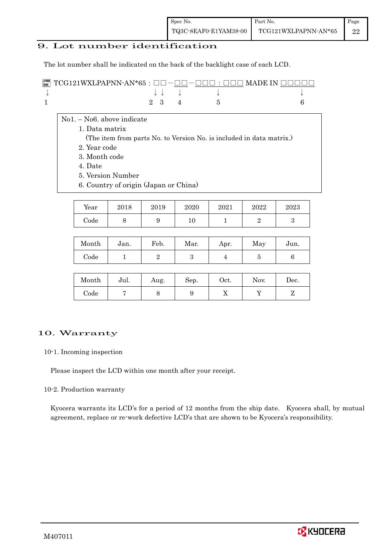#### 9. Lot number identification

The lot number shall be indicated on the back of the backlight case of each LCD.

| $\mathbb{R}^n$ TCG121WXLPAPNN-AN*65 : $\Box \Box - \Box \Box - \Box \Box$ : $\Box \Box \Box$ MADE IN $\Box \Box \Box \Box$ |  |  |                                        |  |
|----------------------------------------------------------------------------------------------------------------------------|--|--|----------------------------------------|--|
|                                                                                                                            |  |  | $\downarrow$ $\downarrow$ $\downarrow$ |  |
|                                                                                                                            |  |  | $2 \t3 \t4 \t5$                        |  |

- No1. No6. above indicate
	- 1. Data matrix
		- (The item from parts No. to Version No. is included in data matrix.)
		- 2. Year code
		- 3. Month code
		- 4. Date
		- 5. Version Number
	- 6. Country of origin (Japan or China)

| Year | 2018 | 2019 | 2020 | 2021 | 2022 | 2023 |
|------|------|------|------|------|------|------|
| Code |      | υ    |      |      |      |      |

| Month | Jan. | Feb. | Mar. | Apr. | May | Jun. |
|-------|------|------|------|------|-----|------|
| Code  |      |      |      |      |     |      |

| Month      | Jul. | Aug. | Sep. | $\rm Oct.$ | Nov. | Dec. |
|------------|------|------|------|------------|------|------|
| $\rm Code$ |      |      |      | ∡⊾         |      |      |

#### 10. Warranty

#### 10-1. Incoming inspection

Please inspect the LCD within one month after your receipt.

#### 10-2. Production warranty

 Kyocera warrants its LCD's for a period of 12 months from the ship date. Kyocera shall, by mutual agreement, replace or re-work defective LCD's that are shown to be Kyocera's responsibility.

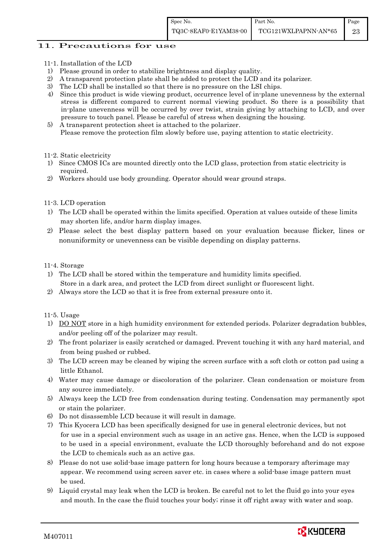#### 11. Precautions for use

- 11-1. Installation of the LCD
- 1) Please ground in order to stabilize brightness and display quality.
- 2) A transparent protection plate shall be added to protect the LCD and its polarizer.
- 3) The LCD shall be installed so that there is no pressure on the LSI chips.
- 4) Since this product is wide viewing product, occurrence level of in-plane unevenness by the external stress is different compared to current normal viewing product. So there is a possibility that in-plane unevenness will be occurred by over twist, strain giving by attaching to LCD, and over pressure to touch panel. Please be careful of stress when designing the housing.
- 5) A transparent protection sheet is attached to the polarizer. Please remove the protection film slowly before use, paying attention to static electricity.

#### 11-2. Static electricity

- 1) Since CMOS ICs are mounted directly onto the LCD glass, protection from static electricity is required.
- 2) Workers should use body grounding. Operator should wear ground straps.

#### 11-3. LCD operation

- 1) The LCD shall be operated within the limits specified. Operation at values outside of these limits may shorten life, and/or harm display images.
- 2) Please select the best display pattern based on your evaluation because flicker, lines or nonuniformity or unevenness can be visible depending on display patterns.

#### 11-4. Storage

- 1) The LCD shall be stored within the temperature and humidity limits specified. Store in a dark area, and protect the LCD from direct sunlight or fluorescent light.
- 2) Always store the LCD so that it is free from external pressure onto it.

#### 11-5. Usage

- 1) DO NOT store in a high humidity environment for extended periods. Polarizer degradation bubbles, and/or peeling off of the polarizer may result.
- 2) The front polarizer is easily scratched or damaged. Prevent touching it with any hard material, and from being pushed or rubbed.
- 3) The LCD screen may be cleaned by wiping the screen surface with a soft cloth or cotton pad using a little Ethanol.
- 4) Water may cause damage or discoloration of the polarizer. Clean condensation or moisture from any source immediately.
- 5) Always keep the LCD free from condensation during testing. Condensation may permanently spot or stain the polarizer.
- 6) Do not disassemble LCD because it will result in damage.
- 7) This Kyocera LCD has been specifically designed for use in general electronic devices, but not for use in a special environment such as usage in an active gas. Hence, when the LCD is supposed to be used in a special environment, evaluate the LCD thoroughly beforehand and do not expose the LCD to chemicals such as an active gas.
- 8) Please do not use solid-base image pattern for long hours because a temporary afterimage may appear. We recommend using screen saver etc. in cases where a solid-base image pattern must be used.
- 9) Liquid crystal may leak when the LCD is broken. Be careful not to let the fluid go into your eyes and mouth. In the case the fluid touches your body; rinse it off right away with water and soap.

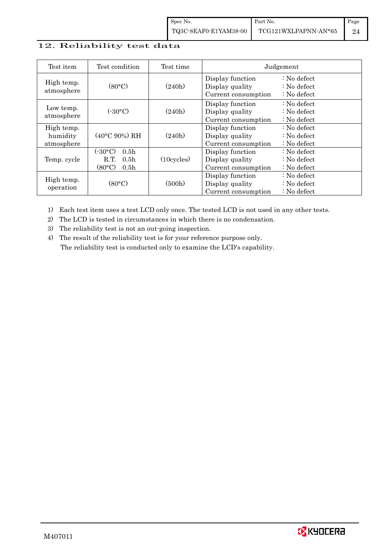#### 12. Reliability test data

| Test item                            | Test condition                                                                                     | Test time            |                                                            | Judgement                                                |
|--------------------------------------|----------------------------------------------------------------------------------------------------|----------------------|------------------------------------------------------------|----------------------------------------------------------|
| High temp.<br>atmosphere             | (80°C)                                                                                             | (240h)               | Display function<br>Display quality<br>Current consumption | $: No$ defect<br>$: No$ defect<br>$: No$ defect          |
| Low temp.<br>atmosphere              | (.30°C)                                                                                            | (240h)               | Display function<br>Display quality<br>Current consumption | $\therefore$ No defect<br>$: No$ defect<br>$: No$ defect |
| High temp.<br>humidity<br>atmosphere | $(40^{\circ}$ C 90%) RH                                                                            | (240h)               | Display function<br>Display quality<br>Current consumption | $\therefore$ No defect<br>$: No$ defect<br>$: No$ defect |
| Temp. cycle                          | (-30°C)<br>0.5 <sub>h</sub><br>0.5 <sub>h</sub><br>R.T.<br>$(80\textdegree C)$<br>0.5 <sub>h</sub> | $(10 \text{cycles})$ | Display function<br>Display quality<br>Current consumption | $: No$ defect<br>$: No$ defect<br>$: No$ defect          |
| High temp.<br>operation              | (80°C)                                                                                             | (500h)               | Display function<br>Display quality<br>Current consumption | $: No$ defect<br>$: No$ defect<br>$: No$ defect          |

1) Each test item uses a test LCD only once. The tested LCD is not used in any other tests.

2) The LCD is tested in circumstances in which there is no condensation.

3) The reliability test is not an out-going inspection.

4) The result of the reliability test is for your reference purpose only. The reliability test is conducted only to examine the LCD's capability.

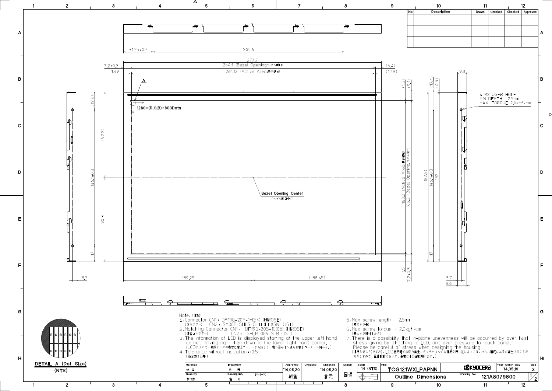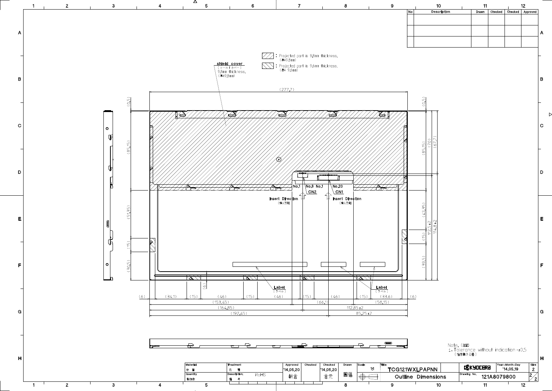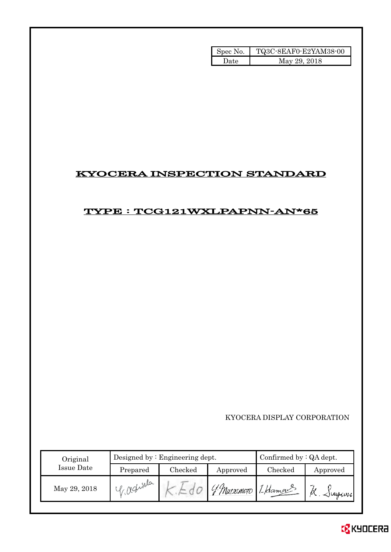| Spec No. | TQ3C-8EAF0-E2YAM38-00 |
|----------|-----------------------|
| Date.    | May 29, 2018          |

# KYOCERA INSPECTION STANDARD

# TYPE : TCG121WXLPAPNN-AN\*65

KYOCERA DISPLAY CORPORATION

| Original     |             | Designed by $:$ Engineering dept. | Confirmed by $:QA$ dept. |                    |                 |
|--------------|-------------|-----------------------------------|--------------------------|--------------------|-----------------|
| Issue Date   | Prepared    | Checked                           | Approved                 | Checked            | Approved        |
| May 29, 2018 | Tr redioida |                                   |                          | Watsumoto I Hamans | $\sim$ $\omega$ |

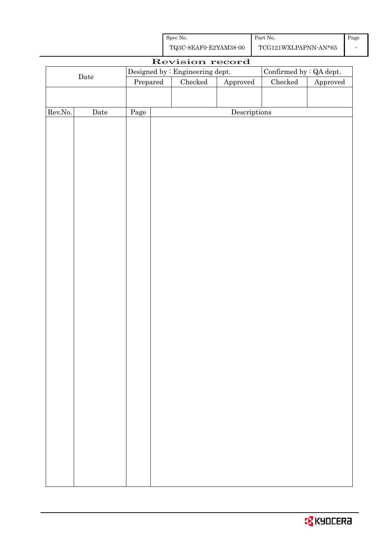| Spec No.              | Part No.             | Page |
|-----------------------|----------------------|------|
| TQ3C-8EAF0-E2YAM38-00 | TCG121WXLPAPNN-AN*65 |      |

|         |             |                                                                       |  | Revision record                 |              |                                |  |
|---------|-------------|-----------------------------------------------------------------------|--|---------------------------------|--------------|--------------------------------|--|
|         |             |                                                                       |  | Designed by : Engineering dept. |              | Confirmed by $\colon$ QA dept. |  |
|         | $\rm{Date}$ | $\ensuremath{\mathrm{Prepared}}$<br>Checked<br>${\Large\bf Approved}$ |  | $\rm Checked$                   | Approved     |                                |  |
|         |             |                                                                       |  |                                 |              |                                |  |
|         |             |                                                                       |  |                                 |              |                                |  |
| Rev.No. | Date        | Page                                                                  |  |                                 | Descriptions |                                |  |
|         |             |                                                                       |  |                                 |              |                                |  |
|         |             |                                                                       |  |                                 |              |                                |  |
|         |             |                                                                       |  |                                 |              |                                |  |
|         |             |                                                                       |  |                                 |              |                                |  |
|         |             |                                                                       |  |                                 |              |                                |  |
|         |             |                                                                       |  |                                 |              |                                |  |
|         |             |                                                                       |  |                                 |              |                                |  |
|         |             |                                                                       |  |                                 |              |                                |  |
|         |             |                                                                       |  |                                 |              |                                |  |
|         |             |                                                                       |  |                                 |              |                                |  |
|         |             |                                                                       |  |                                 |              |                                |  |
|         |             |                                                                       |  |                                 |              |                                |  |
|         |             |                                                                       |  |                                 |              |                                |  |
|         |             |                                                                       |  |                                 |              |                                |  |
|         |             |                                                                       |  |                                 |              |                                |  |
|         |             |                                                                       |  |                                 |              |                                |  |
|         |             |                                                                       |  |                                 |              |                                |  |
|         |             |                                                                       |  |                                 |              |                                |  |
|         |             |                                                                       |  |                                 |              |                                |  |
|         |             |                                                                       |  |                                 |              |                                |  |
|         |             |                                                                       |  |                                 |              |                                |  |
|         |             |                                                                       |  |                                 |              |                                |  |
|         |             |                                                                       |  |                                 |              |                                |  |
|         |             |                                                                       |  |                                 |              |                                |  |
|         |             |                                                                       |  |                                 |              |                                |  |
|         |             |                                                                       |  |                                 |              |                                |  |
|         |             |                                                                       |  |                                 |              |                                |  |
|         |             |                                                                       |  |                                 |              |                                |  |
|         |             |                                                                       |  |                                 |              |                                |  |
|         |             |                                                                       |  |                                 |              |                                |  |
|         |             |                                                                       |  |                                 |              |                                |  |
|         |             |                                                                       |  |                                 |              |                                |  |
|         |             |                                                                       |  |                                 |              |                                |  |
|         |             |                                                                       |  |                                 |              |                                |  |
|         |             |                                                                       |  |                                 |              |                                |  |
|         |             |                                                                       |  |                                 |              |                                |  |
|         |             |                                                                       |  |                                 |              |                                |  |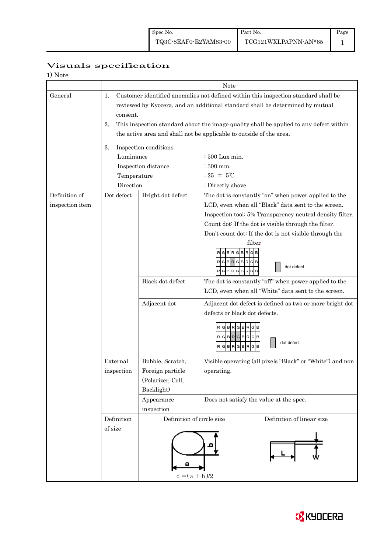Page 1

# Visuals specification

| 1) Note         |                             |                                                                     |                                                                                        |  |  |  |  |  |  |
|-----------------|-----------------------------|---------------------------------------------------------------------|----------------------------------------------------------------------------------------|--|--|--|--|--|--|
|                 |                             |                                                                     | Note                                                                                   |  |  |  |  |  |  |
| General         | 1.                          |                                                                     | Customer identified anomalies not defined within this inspection standard shall be     |  |  |  |  |  |  |
|                 |                             |                                                                     | reviewed by Kyocera, and an additional standard shall be determined by mutual          |  |  |  |  |  |  |
|                 | consent.                    |                                                                     |                                                                                        |  |  |  |  |  |  |
|                 | 2.                          |                                                                     | This inspection standard about the image quality shall be applied to any defect within |  |  |  |  |  |  |
|                 |                             | the active area and shall not be applicable to outside of the area. |                                                                                        |  |  |  |  |  |  |
|                 | Inspection conditions<br>3. |                                                                     |                                                                                        |  |  |  |  |  |  |
|                 | Luminance                   |                                                                     | $\div 500$ Lux min.                                                                    |  |  |  |  |  |  |
|                 |                             | Inspection distance                                                 | $:300$ mm.                                                                             |  |  |  |  |  |  |
|                 | Temperature                 |                                                                     | : 25 $\pm$ 5°C                                                                         |  |  |  |  |  |  |
|                 | Direction                   |                                                                     | : Directly above                                                                       |  |  |  |  |  |  |
| Definition of   | Dot defect                  | Bright dot defect                                                   | The dot is constantly "on" when power applied to the                                   |  |  |  |  |  |  |
| inspection item |                             |                                                                     | LCD, even when all "Black" data sent to the screen.                                    |  |  |  |  |  |  |
|                 |                             |                                                                     | Inspection tool: 5% Transparency neutral density filter.                               |  |  |  |  |  |  |
|                 |                             |                                                                     | Count dot: If the dot is visible through the filter.                                   |  |  |  |  |  |  |
|                 |                             |                                                                     | Don't count dot: If the dot is not visible through the                                 |  |  |  |  |  |  |
|                 |                             |                                                                     | filter.                                                                                |  |  |  |  |  |  |
|                 |                             |                                                                     | $\,$ B<br>R<br>R<br>G<br>G                                                             |  |  |  |  |  |  |
|                 |                             |                                                                     | RGBRGBRGB                                                                              |  |  |  |  |  |  |
|                 |                             |                                                                     | dot defect<br>R G B R G B R <br>G B                                                    |  |  |  |  |  |  |
|                 |                             | Black dot defect                                                    | The dot is constantly "off" when power applied to the                                  |  |  |  |  |  |  |
|                 |                             |                                                                     | LCD, even when all "White" data sent to the screen.                                    |  |  |  |  |  |  |
|                 |                             | Adjacent dot                                                        | Adjacent dot defect is defined as two or more bright dot                               |  |  |  |  |  |  |
|                 |                             |                                                                     | defects or black dot defects.                                                          |  |  |  |  |  |  |
|                 |                             |                                                                     |                                                                                        |  |  |  |  |  |  |
|                 |                             |                                                                     | GBRGBRG                                                                                |  |  |  |  |  |  |
|                 |                             |                                                                     | RGBRGBRGB<br>dot defect                                                                |  |  |  |  |  |  |
|                 |                             |                                                                     | $G$ $B$ $R$ $G$ $B$ $R$<br>R<br>G<br>в                                                 |  |  |  |  |  |  |
|                 | External                    | Bubble, Scratch,                                                    | Visible operating (all pixels "Black" or "White") and non                              |  |  |  |  |  |  |
|                 | inspection                  | Foreign particle                                                    | operating.                                                                             |  |  |  |  |  |  |
|                 |                             | (Polarizer, Cell,                                                   |                                                                                        |  |  |  |  |  |  |
|                 |                             | Backlight)                                                          |                                                                                        |  |  |  |  |  |  |
|                 |                             | Appearance                                                          | Does not satisfy the value at the spec.                                                |  |  |  |  |  |  |
|                 |                             | inspection                                                          |                                                                                        |  |  |  |  |  |  |
|                 | Definition                  | Definition of circle size                                           | Definition of linear size                                                              |  |  |  |  |  |  |
|                 | of size                     |                                                                     |                                                                                        |  |  |  |  |  |  |
|                 |                             |                                                                     |                                                                                        |  |  |  |  |  |  |
|                 |                             |                                                                     |                                                                                        |  |  |  |  |  |  |
|                 |                             |                                                                     |                                                                                        |  |  |  |  |  |  |
|                 |                             |                                                                     |                                                                                        |  |  |  |  |  |  |
|                 |                             | $d = (a + b)/2$                                                     |                                                                                        |  |  |  |  |  |  |